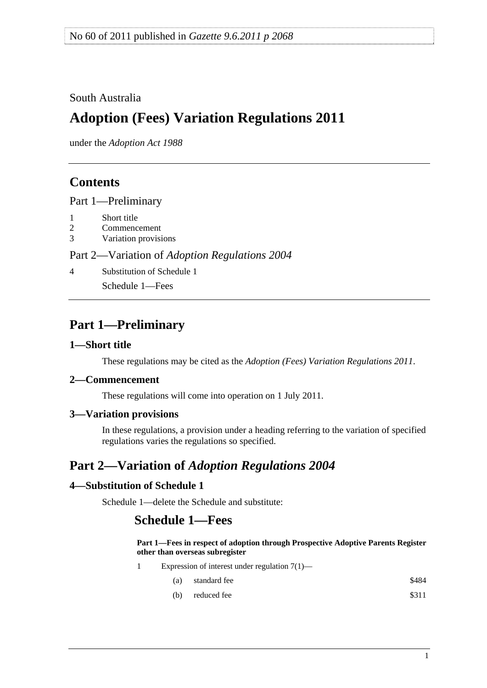#### <span id="page-0-0"></span>South Australia

# **Adoption (Fees) Variation Regulations 2011**

under the *Adoption Act 1988*

### **Contents**

[Part 1—Preliminary](#page-0-0)

- [1 Short title](#page-0-0)
- [2 Commencement](#page-0-0)
- [3 Variation provisions](#page-0-0)

Part 2—Variation of *[Adoption Regulations 2004](#page-0-0)*

[4 Substitution of Schedule 1](#page-0-0)

[Schedule 1—Fees](#page-0-0) 

## **Part 1—Preliminary**

#### **1—Short title**

These regulations may be cited as the *Adoption (Fees) Variation Regulations 2011*.

#### **2—Commencement**

These regulations will come into operation on 1 July 2011.

#### **3—Variation provisions**

In these regulations, a provision under a heading referring to the variation of specified regulations varies the regulations so specified.

## **Part 2—Variation of** *Adoption Regulations 2004*

#### **4—Substitution of Schedule 1**

Schedule 1—delete the Schedule and substitute:

### **Schedule 1—Fees**

**Part 1—Fees in respect of adoption through Prospective Adoptive Parents Register other than overseas subregister**

- 1 Expression of interest under regulation 7(1)—
	- $(a)$  standard fee  $$484$
	- (b) reduced fee  $$311$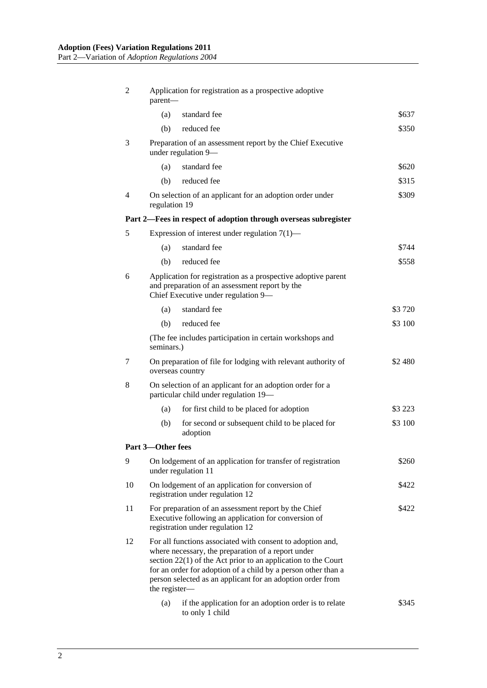| 2  | Application for registration as a prospective adoptive<br>parent-                                                                                                                                                                                                                                                                   |                                                                                    |         |  |
|----|-------------------------------------------------------------------------------------------------------------------------------------------------------------------------------------------------------------------------------------------------------------------------------------------------------------------------------------|------------------------------------------------------------------------------------|---------|--|
|    | (a)                                                                                                                                                                                                                                                                                                                                 | standard fee                                                                       | \$637   |  |
|    | (b)                                                                                                                                                                                                                                                                                                                                 | reduced fee                                                                        | \$350   |  |
| 3  | Preparation of an assessment report by the Chief Executive<br>under regulation 9-                                                                                                                                                                                                                                                   |                                                                                    |         |  |
|    | (a)                                                                                                                                                                                                                                                                                                                                 | standard fee                                                                       | \$620   |  |
|    | (b)                                                                                                                                                                                                                                                                                                                                 | reduced fee                                                                        | \$315   |  |
| 4  | On selection of an applicant for an adoption order under<br>\$309<br>regulation 19                                                                                                                                                                                                                                                  |                                                                                    |         |  |
|    |                                                                                                                                                                                                                                                                                                                                     | Part 2-Fees in respect of adoption through overseas subregister                    |         |  |
| 5  |                                                                                                                                                                                                                                                                                                                                     | Expression of interest under regulation $7(1)$ —                                   |         |  |
|    | (a)                                                                                                                                                                                                                                                                                                                                 | standard fee                                                                       | \$744   |  |
|    | (b)                                                                                                                                                                                                                                                                                                                                 | reduced fee                                                                        | \$558   |  |
| 6  | Application for registration as a prospective adoptive parent<br>and preparation of an assessment report by the<br>Chief Executive under regulation 9-                                                                                                                                                                              |                                                                                    |         |  |
|    | (a)                                                                                                                                                                                                                                                                                                                                 | standard fee                                                                       | \$3 720 |  |
|    | (b)                                                                                                                                                                                                                                                                                                                                 | reduced fee                                                                        | \$3 100 |  |
|    | (The fee includes participation in certain workshops and<br>seminars.)                                                                                                                                                                                                                                                              |                                                                                    |         |  |
| 7  | On preparation of file for lodging with relevant authority of<br>\$2 480<br>overseas country                                                                                                                                                                                                                                        |                                                                                    |         |  |
| 8  | On selection of an applicant for an adoption order for a<br>particular child under regulation 19-                                                                                                                                                                                                                                   |                                                                                    |         |  |
|    | (a)                                                                                                                                                                                                                                                                                                                                 | for first child to be placed for adoption                                          | \$3 223 |  |
|    | (b)                                                                                                                                                                                                                                                                                                                                 | for second or subsequent child to be placed for<br>adoption                        | \$3 100 |  |
|    | Part 3-Other fees                                                                                                                                                                                                                                                                                                                   |                                                                                    |         |  |
| 9  |                                                                                                                                                                                                                                                                                                                                     | On lodgement of an application for transfer of registration<br>under regulation 11 | \$260   |  |
| 10 | On lodgement of an application for conversion of<br>registration under regulation 12                                                                                                                                                                                                                                                |                                                                                    | \$422   |  |
| 11 | For preparation of an assessment report by the Chief<br>\$422<br>Executive following an application for conversion of<br>registration under regulation 12                                                                                                                                                                           |                                                                                    |         |  |
| 12 | For all functions associated with consent to adoption and,<br>where necessary, the preparation of a report under<br>section $22(1)$ of the Act prior to an application to the Court<br>for an order for adoption of a child by a person other than a<br>person selected as an applicant for an adoption order from<br>the register- |                                                                                    |         |  |
|    | (a)                                                                                                                                                                                                                                                                                                                                 | if the application for an adoption order is to relate<br>to only 1 child           | \$345   |  |